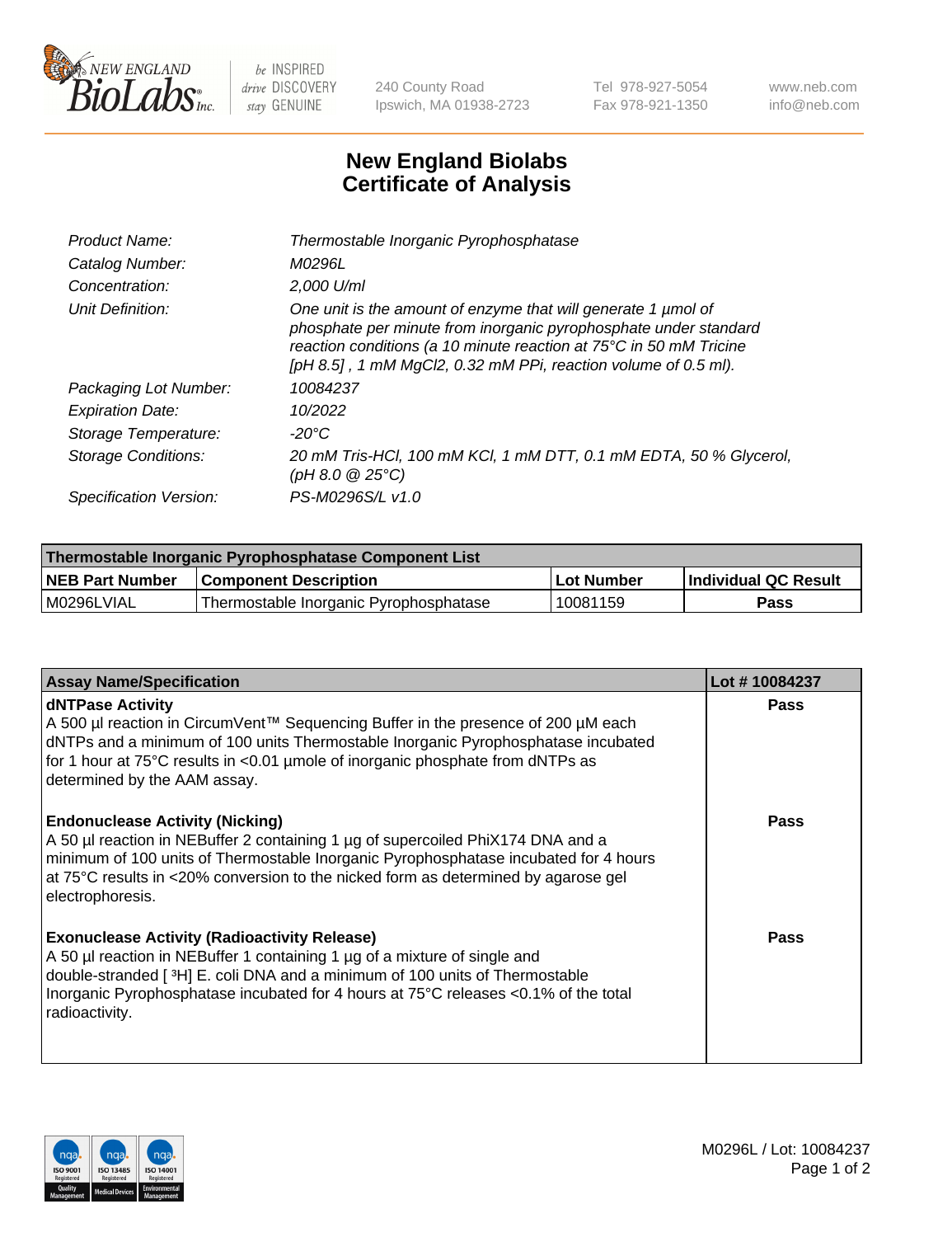

 $be$  INSPIRED drive DISCOVERY stay GENUINE

240 County Road Ipswich, MA 01938-2723 Tel 978-927-5054 Fax 978-921-1350 www.neb.com info@neb.com

## **New England Biolabs Certificate of Analysis**

| Product Name:              | Thermostable Inorganic Pyrophosphatase                                                                                                                                                                                                                                    |
|----------------------------|---------------------------------------------------------------------------------------------------------------------------------------------------------------------------------------------------------------------------------------------------------------------------|
| Catalog Number:            | M0296L                                                                                                                                                                                                                                                                    |
| Concentration:             | $2.000$ U/ml                                                                                                                                                                                                                                                              |
| Unit Definition:           | One unit is the amount of enzyme that will generate 1 µmol of<br>phosphate per minute from inorganic pyrophosphate under standard<br>reaction conditions (a 10 minute reaction at 75°C in 50 mM Tricine<br>[pH 8.5], 1 mM MgCl2, 0.32 mM PPi, reaction volume of 0.5 ml). |
| Packaging Lot Number:      | 10084237                                                                                                                                                                                                                                                                  |
| <b>Expiration Date:</b>    | 10/2022                                                                                                                                                                                                                                                                   |
| Storage Temperature:       | $-20^{\circ}$ C                                                                                                                                                                                                                                                           |
| <b>Storage Conditions:</b> | 20 mM Tris-HCl, 100 mM KCl, 1 mM DTT, 0.1 mM EDTA, 50 % Glycerol,<br>(pH 8.0 $@25°C$ )                                                                                                                                                                                    |
| Specification Version:     | PS-M0296S/L v1.0                                                                                                                                                                                                                                                          |

| Thermostable Inorganic Pyrophosphatase Component List |                                        |              |                             |  |
|-------------------------------------------------------|----------------------------------------|--------------|-----------------------------|--|
| <b>NEB Part Number</b>                                | <b>Component Description</b>           | l Lot Number | <b>Individual QC Result</b> |  |
| l M0296LVIAL                                          | Thermostable Inorganic Pyrophosphatase | 10081159     | <b>Pass</b>                 |  |

| <b>Assay Name/Specification</b>                                                                                                                                                                                                                                                                                             | Lot #10084237 |
|-----------------------------------------------------------------------------------------------------------------------------------------------------------------------------------------------------------------------------------------------------------------------------------------------------------------------------|---------------|
| <b>dNTPase Activity</b><br>A 500 µl reaction in CircumVent™ Sequencing Buffer in the presence of 200 µM each<br>dNTPs and a minimum of 100 units Thermostable Inorganic Pyrophosphatase incubated<br>for 1 hour at 75°C results in <0.01 µmole of inorganic phosphate from dNTPs as<br>determined by the AAM assay.         | <b>Pass</b>   |
| <b>Endonuclease Activity (Nicking)</b><br>A 50 µl reaction in NEBuffer 2 containing 1 µg of supercoiled PhiX174 DNA and a<br>minimum of 100 units of Thermostable Inorganic Pyrophosphatase incubated for 4 hours<br>at 75°C results in <20% conversion to the nicked form as determined by agarose gel<br>electrophoresis. | <b>Pass</b>   |
| <b>Exonuclease Activity (Radioactivity Release)</b><br>A 50 µl reaction in NEBuffer 1 containing 1 µg of a mixture of single and<br>double-stranded [3H] E. coli DNA and a minimum of 100 units of Thermostable<br>Inorganic Pyrophosphatase incubated for 4 hours at 75°C releases <0.1% of the total<br>radioactivity.    | <b>Pass</b>   |